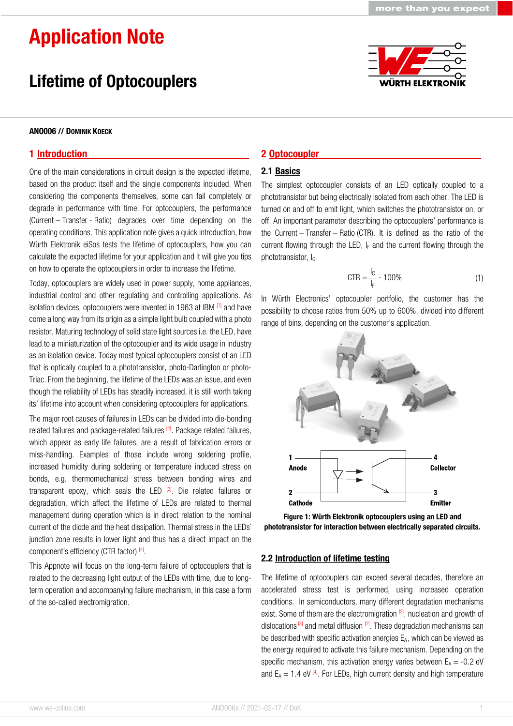**WÜRTH ELEKTRO** 

# Application Note

### Lifetime of Optocouplers

#### ANO006 // DOMINIK KOECK

#### 1 Introduction

One of the main considerations in circuit design is the expected lifetime, based on the product itself and the single components included. When considering the components themselves, some can fail completely or degrade in performance with time. For optocouplers, the performance (Current – Transfer - Ratio) degrades over time depending on the operating conditions. This application note gives a quick introduction, how Würth Elektronik eiSos tests the lifetime of optocouplers, how you can calculate the expected lifetime for your application and it will give you tips on how to operate the optocouplers in order to increase the lifetime.

Today, optocouplers are widely used in power supply, home appliances, industrial control and other regulating and controlling applications. As isolation devices, optocouplers were invented in 1963 at IBM [1] and have come a long way from its origin as a simple light bulb coupled with a photo resistor. Maturing technology of solid state light sources i.e. the LED, have lead to a miniaturization of the optocoupler and its wide usage in industry as an isolation device. Today most typical optocouplers consist of an LED that is optically coupled to a phototransistor, photo-Darlington or photo-Triac. From the beginning, the lifetime of the LEDs was an issue, and even though the reliability of LEDs has steadily increased, it is still worth taking its' lifetime into account when considering optocouplers for applications.

The major root causes of failures in LEDs can be divided into die-bonding related failures and package-related failures <sup>[2]</sup>. Package related failures, which appear as early life failures, are a result of fabrication errors or miss-handling. Examples of those include wrong soldering profile, increased humidity during soldering or temperature induced stress on bonds, e.g. thermomechanical stress between bonding wires and transparent epoxy, which seals the LED  $[3]$ . Die related failures or degradation, which affect the lifetime of LEDs are related to thermal management during operation which is in direct relation to the nominal current of the diode and the heat dissipation. Thermal stress in the LEDs` junction zone results in lower light and thus has a direct impact on the component's efficiency (CTR factor) [4].

This Appnote will focus on the long-term failure of optocouplers that is related to the decreasing light output of the LEDs with time, due to longterm operation and accompanying failure mechanism, in this case a form of the so-called electromigration.

#### 2 Optocoupler

#### 2.1 Basics

The simplest optocoupler consists of an LED optically coupled to a phototransistor but being electrically isolated from each other. The LED is turned on and off to emit light, which switches the phototransistor on, or off. An important parameter describing the optocouplers' performance is the Current – Transfer – Ratio (CTR). It is defined as the ratio of the current flowing through the LED,  $I_F$  and the current flowing through the phototransistor, I<sub>c</sub>.

$$
CTR = \frac{I_C}{I_F} \cdot 100\% \tag{1}
$$

In Würth Electronics' optocoupler portfolio, the customer has the possibility to choose ratios from 50% up to 600%, divided into different range of bins, depending on the customer's application.



Figure 1: Würth Elektronik optocouplers using an LED and phototransistor for interaction between electrically separated circuits.

#### 2.2 Introduction of lifetime testing

The lifetime of optocouplers can exceed several decades, therefore an accelerated stress test is performed, using increased operation conditions. In semiconductors, many different degradation mechanisms exist. Some of them are the electromigration  $\frac{2}{2}$ , nucleation and growth of dislocations<sup>[3]</sup> and metal diffusion  $[2]$ . These degradation mechanisms can be described with specific activation energies  $E_A$ , which can be viewed as the energy required to activate this failure mechanism. Depending on the specific mechanism, this activation energy varies between  $E_A = -0.2$  eV and  $E_A = 1.4$  eV  $^{[4]}$ . For LEDs, high current density and high temperature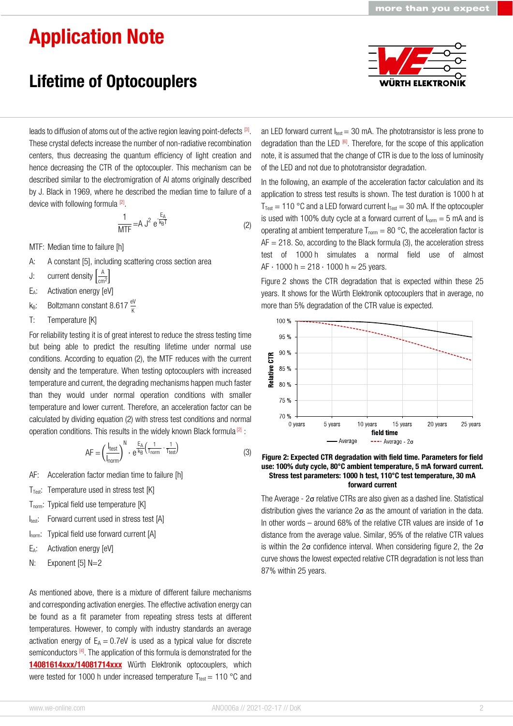## Application Note

### Lifetime of Optocouplers



leads to diffusion of atoms out of the active region leaving point-defects  $[3]$ . These crystal defects increase the number of non-radiative recombination centers, thus decreasing the quantum efficiency of light creation and hence decreasing the CTR of the optocoupler. This mechanism can be described similar to the electromigration of Al atoms originally described by J. Black in 1969, where he described the median time to failure of a device with following formula [2].

$$
\frac{1}{\text{MTF}} = A J^2 e^{\frac{E_A}{k_B T}}
$$
 (2)

MTF: Median time to failure [h]

- A: A constant [5], including scattering cross section area
- J: current density  $\left[\frac{A}{cm^2}\right]$
- E<sub>A</sub>: Activation energy [eV]
- k<sub>B</sub>: Boltzmann constant 8.617  $\frac{eV}{K}$
- T: Temperature [K]

For reliability testing it is of great interest to reduce the stress testing time but being able to predict the resulting lifetime under normal use conditions. According to equation (2), the MTF reduces with the current density and the temperature. When testing optocouplers with increased temperature and current, the degrading mechanisms happen much faster than they would under normal operation conditions with smaller temperature and lower current. Therefore, an acceleration factor can be calculated by dividing equation (2) with stress test conditions and normal operation conditions. This results in the widely known Black formula  $^{[2]}$  :

$$
AF = \left(\frac{I_{\text{test}}}{I_{\text{norm}}}\right)^{N} \cdot e^{\frac{E_A}{k_B} \left(\frac{1}{T_{\text{norm}}} - \frac{1}{T_{\text{test}}}\right)}\tag{3}
$$

- AF: Acceleration factor median time to failure [h]
- $T_{\text{Test}}$ : Temperature used in stress test [K]
- T<sub>norm</sub>: Typical field use temperature [K]
- Itest: Forward current used in stress test [A]
- Inorm: Typical field use forward current [A]
- E<sub>A</sub>: Activation energy [eV]
- N: Exponent [5] N=2

As mentioned above, there is a mixture of different failure mechanisms and corresponding activation energies. The effective activation energy can be found as a fit parameter from repeating stress tests at different temperatures. However, to comply with industry standards an average activation energy of  $E_A = 0.7$ eV is used as a typical value for discrete semiconductors  $[4]$ . The application of this formula is demonstrated for the [14081614xxx/14081714xxx](https://www.we-online.de/katalog/en/WL-OCPT_OPTOCOUPLER_PHOTOTRANSISTOR) Würth Elektronik optocouplers, which were tested for 1000 h under increased temperature  $T_{\text{test}} = 110 \degree C$  and

an LED forward current  $I_{\text{test}} = 30$  mA. The phototransistor is less prone to degradation than the LED  $^{[6]}$ . Therefore, for the scope of this application note, it is assumed that the change of CTR is due to the loss of luminosity of the LED and not due to phototransistor degradation.

In the following, an example of the acceleration factor calculation and its application to stress test results is shown. The test duration is 1000 h at  $T_{Test} = 110$  °C and a LED forward current  $I_{Test} = 30$  mA. If the optocoupler is used with 100% duty cycle at a forward current of  $I_{norm} = 5$  mA and is operating at ambient temperature  $T_{norm} = 80 °C$ , the acceleration factor is  $AF = 218$ . So, according to the Black formula (3), the acceleration stress test of 1000 h simulates a normal field use of almost  $AF \cdot 1000 h = 218 \cdot 1000 h \approx 25$  years.

Figure 2 shows the CTR degradation that is expected within these 25 years. It shows for the Würth Elektronik optocouplers that in average, no more than 5% degradation of the CTR value is expected.



Figure 2: Expected CTR degradation with field time. Parameters for field use: 100% duty cycle, 80°C ambient temperature, 5 mA forward current. Stress test parameters: 1000 h test, 110°C test temperature, 30 mA forward current

The Average - 2σ relative CTRs are also given as a dashed line. Statistical distribution gives the variance  $2\sigma$  as the amount of variation in the data. In other words – around 68% of the relative CTR values are inside of  $1\sigma$ distance from the average value. Similar, 95% of the relative CTR values is within the  $2\sigma$  confidence interval. When considering figure 2, the  $2\sigma$ curve shows the lowest expected relative CTR degradation is not less than 87% within 25 years.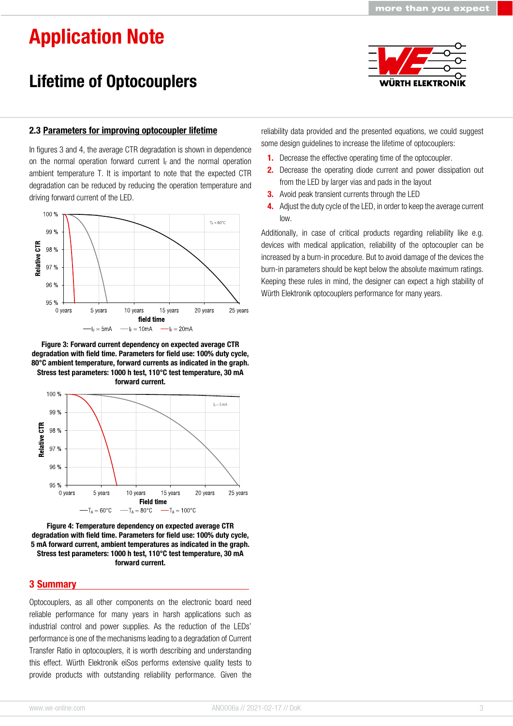WÜRTH ELEKTRO

# Application Note

## Lifetime of Optocouplers

#### 2.3 Parameters for improving optocoupler lifetime

In figures 3 and 4, the average CTR degradation is shown in dependence on the normal operation forward current  $I_F$  and the normal operation ambient temperature T. It is important to note that the expected CTR degradation can be reduced by reducing the operation temperature and driving forward current of the LED.



Figure 3: Forward current dependency on expected average CTR degradation with field time. Parameters for field use: 100% duty cycle, 80°C ambient temperature, forward currents as indicated in the graph. Stress test parameters: 1000 h test, 110°C test temperature, 30 mA forward current.



Figure 4: Temperature dependency on expected average CTR degradation with field time. Parameters for field use: 100% duty cycle, 5 mA forward current, ambient temperatures as indicated in the graph. Stress test parameters: 1000 h test, 110°C test temperature, 30 mA forward current.

#### 3 Summary

Optocouplers, as all other components on the electronic board need reliable performance for many years in harsh applications such as industrial control and power supplies. As the reduction of the LEDs' performance is one of the mechanisms leading to a degradation of Current Transfer Ratio in optocouplers, it is worth describing and understanding this effect. Würth Elektronik eiSos performs extensive quality tests to provide products with outstanding reliability performance. Given the

reliability data provided and the presented equations, we could suggest some design guidelines to increase the lifetime of optocouplers:

- 1. Decrease the effective operating time of the optocoupler.
- 2. Decrease the operating diode current and power dissipation out from the LED by larger vias and pads in the layout
- **3.** Avoid peak transient currents through the LED
- **4.** Adjust the duty cycle of the LED, in order to keep the average current low.

Additionally, in case of critical products regarding reliability like e.g. devices with medical application, reliability of the optocoupler can be increased by a burn-in procedure. But to avoid damage of the devices the burn-in parameters should be kept below the absolute maximum ratings. Keeping these rules in mind, the designer can expect a high stability of Würth Elektronik optocouplers performance for many years.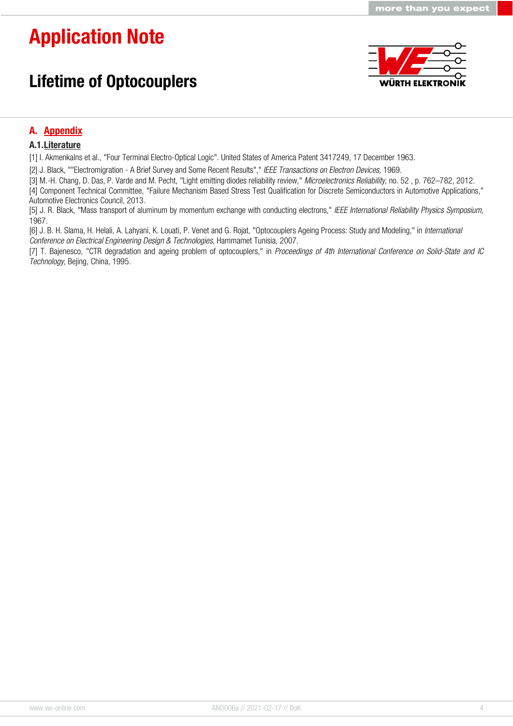# Application Note

### Lifetime of Optocouplers



more than you expect

#### A. Appendix

#### A.1.Literature

[1] I. Akmenkalns et al., "Four Terminal Electro-Optical Logic". United States of America Patent 3417249, 17 December 1963.

[2] J. Black, ""Electromigration - A Brief Survey and Some Recent Results"," IEEE Transactions on Electron Devices, 1969.

[3] M.-H. Chang, D. Das, P. Varde and M. Pecht, "Light emitting diodes reliability review," Microelectronics Reliability, no. 52, p. 762-782, 2012.

[4] Component Technical Committee, "Failure Mechanism Based Stress Test Qualification for Discrete Semiconductors in Automotive Applications," Automotive Electronics Council, 2013.

[5] J. R. Black, "Mass transport of aluminum by momentum exchange with conducting electrons," IEEE International Reliability Physics Symposium, 1967.

[6] J. B. H. Slama, H. Helali, A. Lahyani, K. Louati, P. Venet and G. Rojat, "Optocouplers Ageing Process: Study and Modeling," in International Conference on Electrical Engineering Design & Technologies, Hammamet Tunisia, 2007.

[7] T. Bajenesco, "CTR degradation and ageing problem of optocouplers," in Proceedings of 4th International Conference on Solid-State and IC Technology, Bejing, China, 1995.